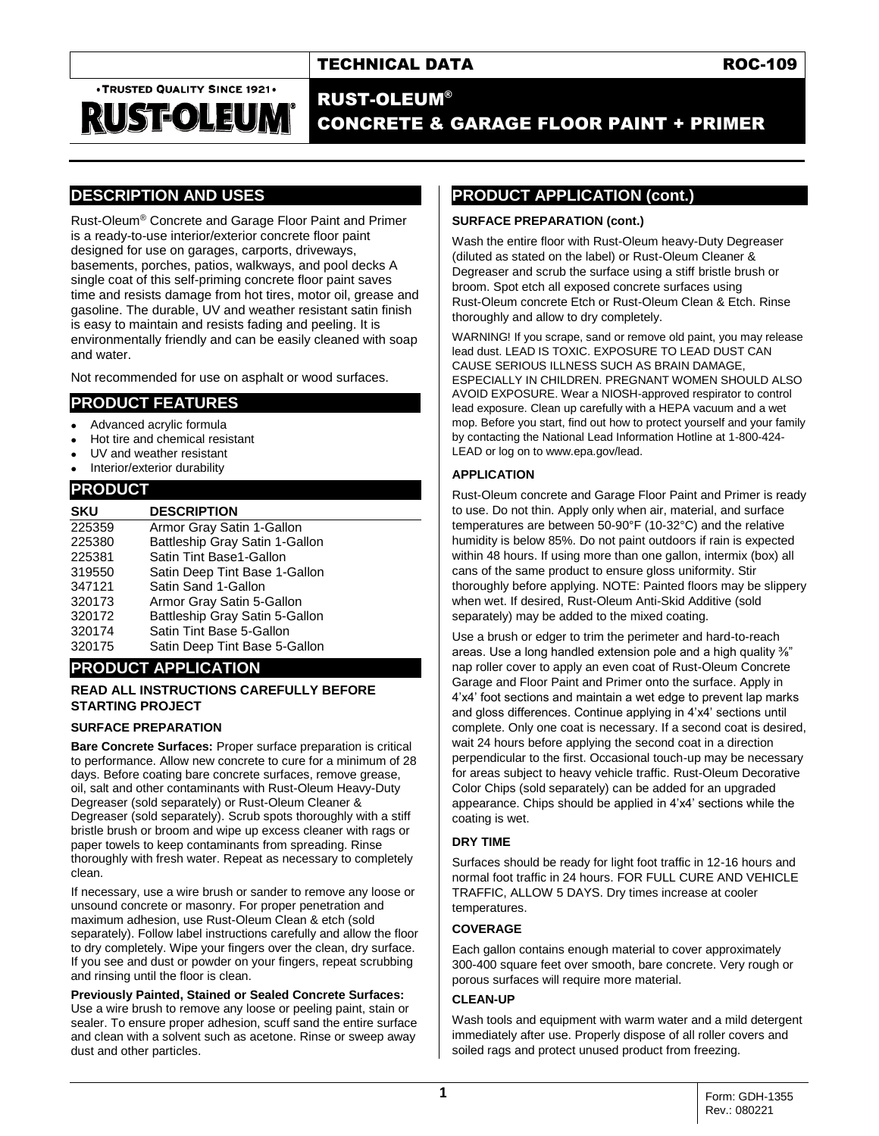. TRUSTED QUALITY SINCE 1921.

RUSFOLEUM

# RUST-OLEUM® CONCRETE & GARAGE FLOOR PAINT + PRIMER

# **DESCRIPTION AND USES**

Rust-Oleum® Concrete and Garage Floor Paint and Primer is a ready-to-use interior/exterior concrete floor paint designed for use on garages, carports, driveways, basements, porches, patios, walkways, and pool decks A single coat of this self-priming concrete floor paint saves time and resists damage from hot tires, motor oil, grease and gasoline. The durable, UV and weather resistant satin finish is easy to maintain and resists fading and peeling. It is environmentally friendly and can be easily cleaned with soap and water.

Not recommended for use on asphalt or wood surfaces.

### **PRODUCT FEATURES**

- Advanced acrylic formula
- Hot tire and chemical resistant
- UV and weather resistant
- Interior/exterior durability

## **PRODUCT**

| <b>SKU</b> | <b>DESCRIPTION</b>             |
|------------|--------------------------------|
| 225359     | Armor Gray Satin 1-Gallon      |
| 225380     | Battleship Gray Satin 1-Gallon |
| 225381     | Satin Tint Base1-Gallon        |
| 319550     | Satin Deep Tint Base 1-Gallon  |
| 347121     | Satin Sand 1-Gallon            |
| 320173     | Armor Gray Satin 5-Gallon      |
| 320172     | Battleship Gray Satin 5-Gallon |
| 320174     | Satin Tint Base 5-Gallon       |
| 320175     | Satin Deep Tint Base 5-Gallon  |

## **PRODUCT APPLICATION**

#### **READ ALL INSTRUCTIONS CAREFULLY BEFORE STARTING PROJECT**

#### **SURFACE PREPARATION**

**Bare Concrete Surfaces: Proper surface preparation is critical** to performance. Allow new concrete to cure for a minimum of 28 days. Before coating bare concrete surfaces, remove grease, oil, salt and other contaminants with Rust-Oleum Heavy-Duty Degreaser (sold separately) or Rust-Oleum Cleaner & Degreaser (sold separately). Scrub spots thoroughly with a stiff bristle brush or broom and wipe up excess cleaner with rags or paper towels to keep contaminants from spreading. Rinse thoroughly with fresh water. Repeat as necessary to completely clean.

If necessary, use a wire brush or sander to remove any loose or unsound concrete or masonry. For proper penetration and maximum adhesion, use Rust-Oleum Clean & etch (sold separately). Follow label instructions carefully and allow the floor to dry completely. Wipe your fingers over the clean, dry surface. If you see and dust or powder on your fingers, repeat scrubbing and rinsing until the floor is clean.

**Previously Painted, Stained or Sealed Concrete Surfaces:** Use a wire brush to remove any loose or peeling paint, stain or sealer. To ensure proper adhesion, scuff sand the entire surface and clean with a solvent such as acetone. Rinse or sweep away dust and other particles.

# **PRODUCT APPLICATION (cont.)**

#### **SURFACE PREPARATION (cont.)**

Wash the entire floor with Rust-Oleum heavy-Duty Degreaser (diluted as stated on the label) or Rust-Oleum Cleaner & Degreaser and scrub the surface using a stiff bristle brush or broom. Spot etch all exposed concrete surfaces using Rust-Oleum concrete Etch or Rust-Oleum Clean & Etch. Rinse thoroughly and allow to dry completely.

WARNING! If you scrape, sand or remove old paint, you may release lead dust. LEAD IS TOXIC. EXPOSURE TO LEAD DUST CAN CAUSE SERIOUS ILLNESS SUCH AS BRAIN DAMAGE, ESPECIALLY IN CHILDREN. PREGNANT WOMEN SHOULD ALSO AVOID EXPOSURE. Wear a NIOSH-approved respirator to control lead exposure. Clean up carefully with a HEPA vacuum and a wet mop. Before you start, find out how to protect yourself and your family by contacting the National Lead Information Hotline at 1-800-424- LEAD or log on to www.epa.gov/lead.

#### **APPLICATION**

Rust-Oleum concrete and Garage Floor Paint and Primer is ready to use. Do not thin. Apply only when air, material, and surface temperatures are between 50-90°F (10-32°C) and the relative humidity is below 85%. Do not paint outdoors if rain is expected within 48 hours. If using more than one gallon, intermix (box) all cans of the same product to ensure gloss uniformity. Stir thoroughly before applying. NOTE: Painted floors may be slippery when wet. If desired, Rust-Oleum Anti-Skid Additive (sold separately) may be added to the mixed coating.

Use a brush or edger to trim the perimeter and hard-to-reach areas. Use a long handled extension pole and a high quality <sup>3</sup>/<sub>8</sub>" nap roller cover to apply an even coat of Rust-Oleum Concrete Garage and Floor Paint and Primer onto the surface. Apply in 4'x4' foot sections and maintain a wet edge to prevent lap marks and gloss differences. Continue applying in 4'x4' sections until complete. Only one coat is necessary. If a second coat is desired, wait 24 hours before applying the second coat in a direction perpendicular to the first. Occasional touch-up may be necessary for areas subject to heavy vehicle traffic. Rust-Oleum Decorative Color Chips (sold separately) can be added for an upgraded appearance. Chips should be applied in 4'x4' sections while the coating is wet.

#### **DRY TIME**

Surfaces should be ready for light foot traffic in 12-16 hours and normal foot traffic in 24 hours. FOR FULL CURE AND VEHICLE TRAFFIC, ALLOW 5 DAYS. Dry times increase at cooler temperatures.

#### **COVERAGE**

Each gallon contains enough material to cover approximately 300-400 square feet over smooth, bare concrete. Very rough or porous surfaces will require more material.

#### **CLEAN-UP**

Wash tools and equipment with warm water and a mild detergent immediately after use. Properly dispose of all roller covers and soiled rags and protect unused product from freezing.